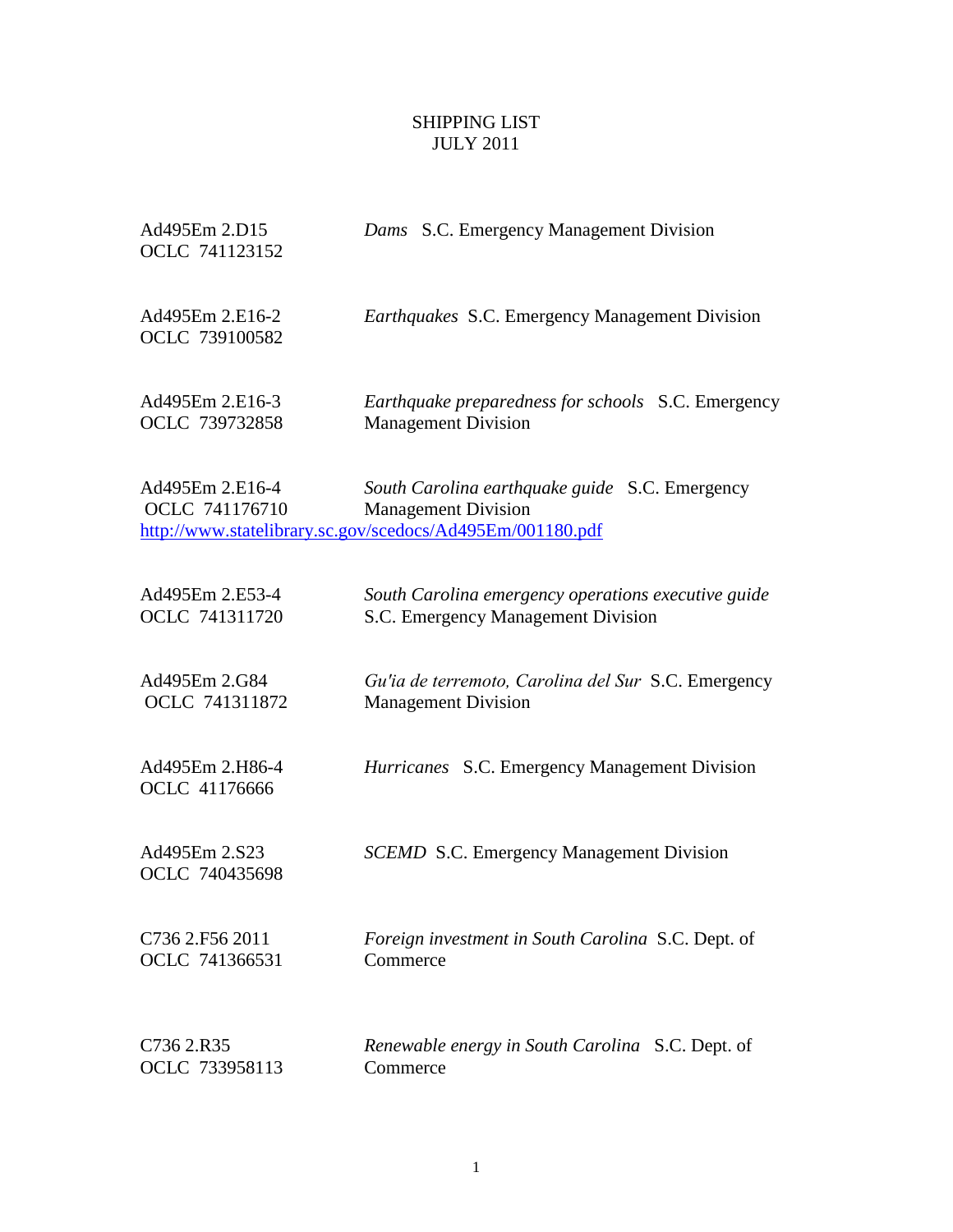## SHIPPING LIST JULY 2011

| Ad495Em 2.D15<br>OCLC 741123152   | Dams S.C. Emergency Management Division                                                                                                   |
|-----------------------------------|-------------------------------------------------------------------------------------------------------------------------------------------|
| Ad495Em 2.E16-2<br>OCLC 739100582 | <i>Earthquakes S.C.</i> Emergency Management Division                                                                                     |
| Ad495Em 2.E16-3                   | Earthquake preparedness for schools S.C. Emergency                                                                                        |
| OCLC 739732858                    | <b>Management Division</b>                                                                                                                |
| Ad495Em 2.E16-4<br>OCLC 741176710 | South Carolina earthquake guide S.C. Emergency<br><b>Management Division</b><br>http://www.statelibrary.sc.gov/scedocs/Ad495Em/001180.pdf |
| Ad495Em 2.E53-4                   | South Carolina emergency operations executive guide                                                                                       |
| OCLC 741311720                    | S.C. Emergency Management Division                                                                                                        |
| Ad495Em 2.G84                     | Gu'ia de terremoto, Carolina del Sur S.C. Emergency                                                                                       |
| OCLC 741311872                    | <b>Management Division</b>                                                                                                                |
| Ad495Em 2.H86-4<br>OCLC 41176666  | Hurricanes S.C. Emergency Management Division                                                                                             |
| Ad495Em 2.S23<br>OCLC 740435698   | <b>SCEMD S.C. Emergency Management Division</b>                                                                                           |
| C736 2.F56 2011                   | Foreign investment in South Carolina S.C. Dept. of                                                                                        |
| OCLC 741366531                    | Commerce                                                                                                                                  |
| C736 2.R35                        | Renewable energy in South Carolina S.C. Dept. of                                                                                          |
| OCLC 733958113                    | Commerce                                                                                                                                  |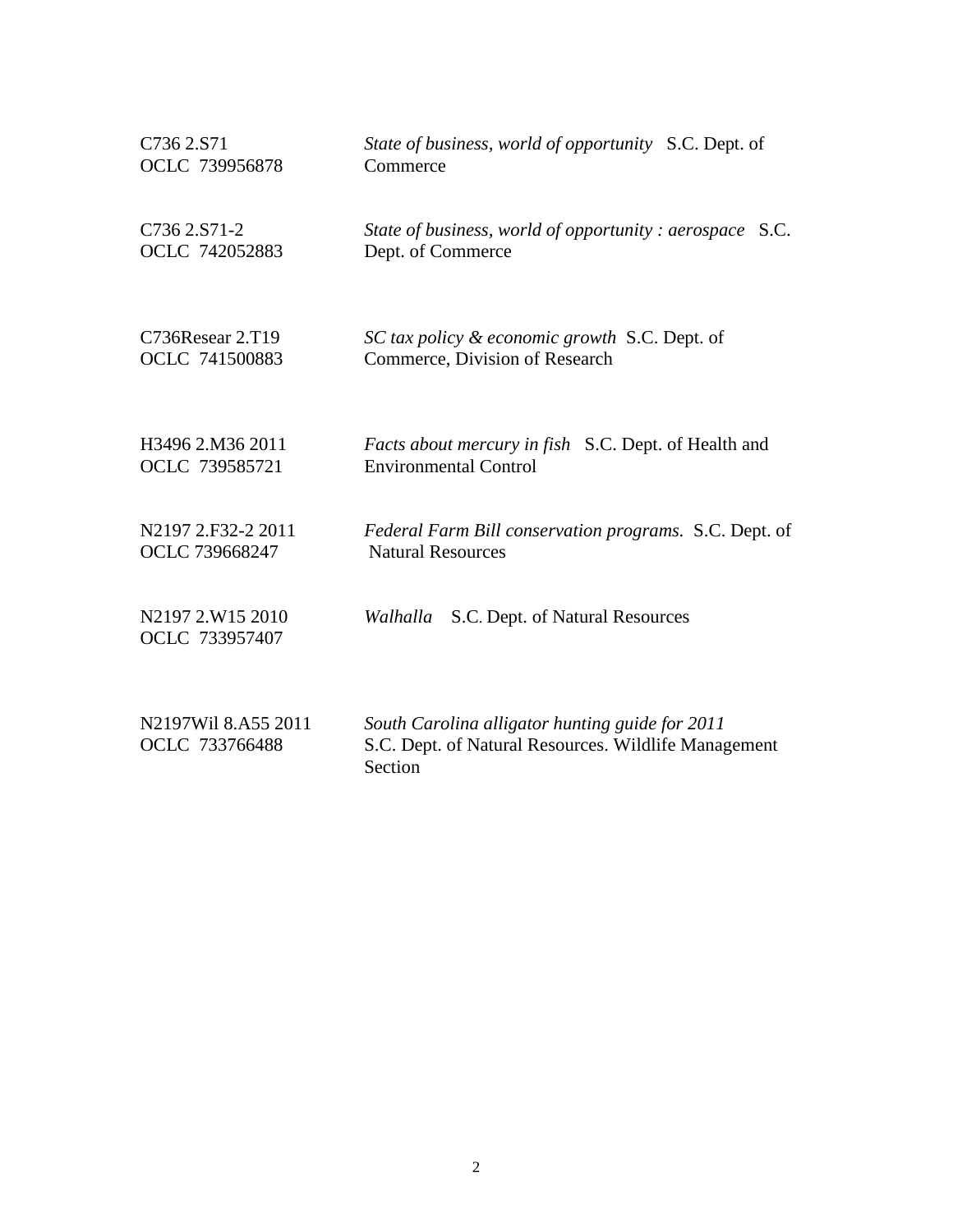| C736 2.S71                            | State of business, world of opportunity S.C. Dept. of                                                              |
|---------------------------------------|--------------------------------------------------------------------------------------------------------------------|
| OCLC 739956878                        | Commerce                                                                                                           |
| C736 2.S71-2<br>OCLC 742052883        | State of business, world of opportunity: aerospace<br>S.C.<br>Dept. of Commerce                                    |
| C736Resear 2.T19                      | SC tax policy & economic growth S.C. Dept. of                                                                      |
| OCLC 741500883                        | Commerce, Division of Research                                                                                     |
| H3496 2.M36 2011                      | Facts about mercury in fish S.C. Dept. of Health and                                                               |
| OCLC 739585721                        | <b>Environmental Control</b>                                                                                       |
| N2197 2.F32-2 2011                    | Federal Farm Bill conservation programs. S.C. Dept. of                                                             |
| OCLC 739668247                        | <b>Natural Resources</b>                                                                                           |
| N2197 2.W15 2010                      | S.C. Dept. of Natural Resources                                                                                    |
| OCLC 733957407                        | Walhalla                                                                                                           |
| N2197Wil 8.A55 2011<br>OCLC 733766488 | South Carolina alligator hunting guide for 2011<br>S.C. Dept. of Natural Resources. Wildlife Management<br>Section |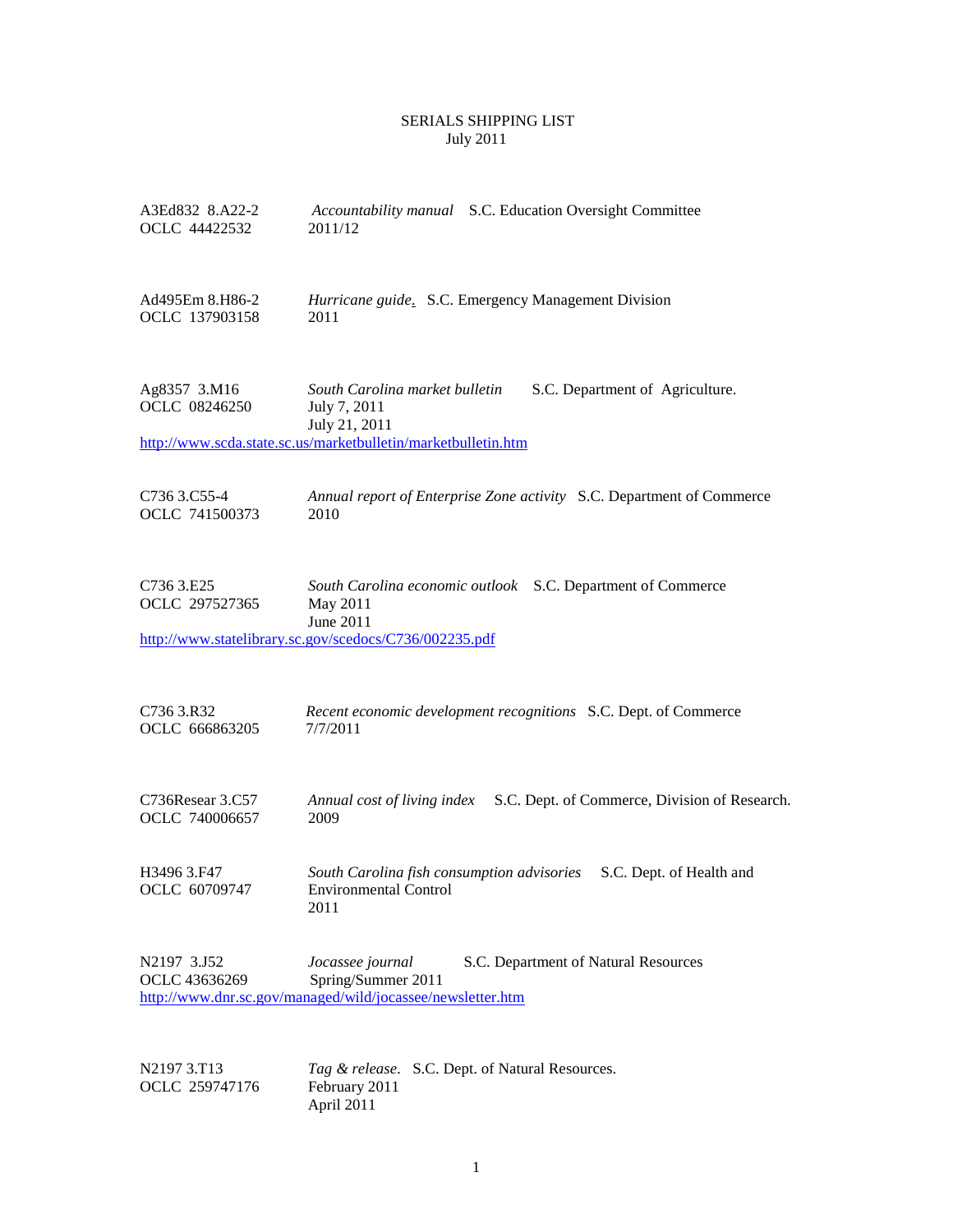## SERIALS SHIPPING LIST July 2011

| A3Ed832 8.A22-2<br>OCLC 44422532   | Accountability manual S.C. Education Oversight Committee<br>2011/12                                                                                                 |
|------------------------------------|---------------------------------------------------------------------------------------------------------------------------------------------------------------------|
| Ad495Em 8.H86-2<br>OCLC 137903158  | Hurricane guide. S.C. Emergency Management Division<br>2011                                                                                                         |
| Ag8357 3.M16<br>OCLC 08246250      | South Carolina market bulletin<br>S.C. Department of Agriculture.<br>July 7, 2011<br>July 21, 2011<br>http://www.scda.state.sc.us/marketbulletin/marketbulletin.htm |
| C736 3.C55-4<br>OCLC 741500373     | Annual report of Enterprise Zone activity S.C. Department of Commerce<br>2010                                                                                       |
| C736 3.E25<br>OCLC 297527365       | South Carolina economic outlook S.C. Department of Commerce<br>May 2011<br>June 2011<br>http://www.statelibrary.sc.gov/scedocs/C736/002235.pdf                      |
| C736 3.R32<br>OCLC 666863205       | Recent economic development recognitions S.C. Dept. of Commerce<br>7/7/2011                                                                                         |
| C736Resear 3.C57<br>OCLC 740006657 | S.C. Dept. of Commerce, Division of Research.<br>Annual cost of living index<br>2009                                                                                |
| H3496 3.F47<br>OCLC 60709747       | South Carolina fish consumption advisories<br>S.C. Dept. of Health and<br><b>Environmental Control</b><br>2011                                                      |
| N2197 3.J52<br>OCLC 43636269       | Jocassee journal<br>S.C. Department of Natural Resources<br>Spring/Summer 2011<br>http://www.dnr.sc.gov/managed/wild/jocassee/newsletter.htm                        |
| N2197 3.T13                        | Tag & release. S.C. Dept. of Natural Resources.                                                                                                                     |

N2197 3.T13 *Tag & release*. S.C. Dept. of Natural Resources. OCLC 259747176 Tag & release.<br>February 2011<br>April 2011